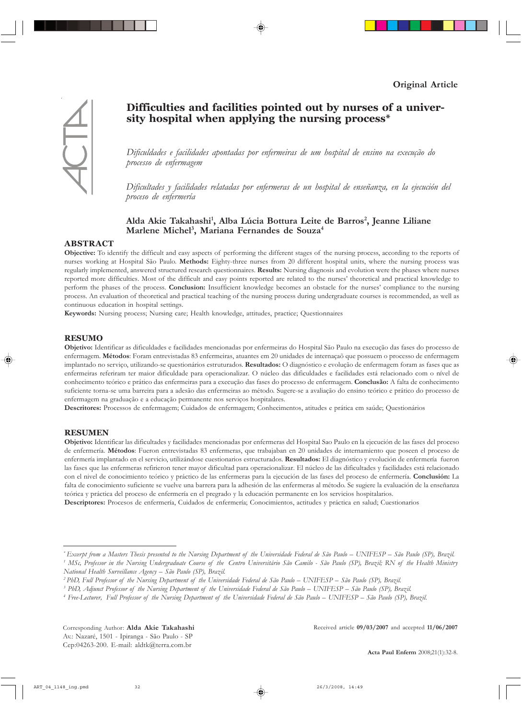# **Difficulties and facilities pointed out by nurses of a university hospital when applying the nursing process\***

Dificuldades e facilidades apontadas por enfermeiras de um hospital de ensino na execução do *processo de enfermagem*

Dificultades y facilidades relatadas por enfermeras de un hospital de enseñanza, en la ejecución del *proceso de enfermerÌa*

## Alda Akie Takahashi<sup>1</sup>, Alba Lúcia Bottura Leite de Barros<sup>2</sup>, Jeanne Liliane **Marlene Michel3 , Mariana Fernandes de Souza4**

#### **ABSTRACT**

**Objective:** To identify the difficult and easy aspects of performing the different stages of the nursing process, according to the reports of nurses working at Hospital S"o Paulo. **Methods:** Eighty-three nurses from 20 different hospital units, where the nursing process was regularly implemented, answered structured research questionnaires. **Results:** Nursing diagnosis and evolution were the phases where nurses reported more difficulties. Most of the difficult and easy points reported are related to the nurses' theoretical and practical knowledge to perform the phases of the process. **Conclusion:** Insufficient knowledge becomes an obstacle for the nurses' compliance to the nursing process. An evaluation of theoretical and practical teaching of the nursing process during undergraduate courses is recommended, as well as continuous education in hospital settings.

**Keywords:** Nursing process; Nursing care; Health knowledge, attitudes, practice; Questionnaires

#### **RESUMO**

Objetivo: Identificar as dificuldades e facilidades mencionadas por enfermeiras do Hospital São Paulo na execução das fases do processo de enfermagem. Métodos: Foram entrevistadas 83 enfermeiras, atuantes em 20 unidades de internação que possuem o processo de enfermagem implantado no serviço, utilizando-se questionários estruturados. Resultados: O diagnóstico e evolução de enfermagem foram as fases que as enfermeiras referiram ter maior dificuldade para operacionalizar. O núcleo das dificuldades e facilidades está relacionado com o nível de conhecimento teórico e prático das enfermeiras para a execução das fases do processo de enfermagem. **Conclusão:** A falta de conhecimento suficiente torna-se uma barreira para a adesão das enfermeiras ao método. Sugere-se a avaliação do ensino teórico e prático do processo de enfermagem na graduação e a educação permanente nos serviços hospitalares.

Descritores: Processos de enfermagem; Cuidados de enfermagem; Conhecimentos, atitudes e prática em saúde; Questionários

#### **RESUMEN**

Objetivo: Identificar las dificultades y facilidades mencionadas por enfermeras del Hospital Sao Paulo en la ejecución de las fases del proceso de enfermería. Métodos: Fueron entrevistadas 83 enfermeras, que trabajaban en 20 unidades de internamiento que poseen el proceso de enfermería implantado en el servicio, utilizándose cuestionarios estructurados. Resultados: El diagnóstico y evolución de enfermería fueron las fases que las enfermeras refirieron tener mayor dificultad para operacionalizar. El núcleo de las dificultades y facilidades está relacionado con el nivel de conocimiento teórico y práctico de las enfermeras para la ejecución de las fases del proceso de enfermería. **Conclusión:** La falta de conocimiento suficiente se vuelve una barrera para la adhesión de las enfermeras al método. Se sugiere la evaluación de la enseñanza teórica y práctica del proceso de enfermería en el pregrado y la educación permanente en los servicios hospitalarios.

Descriptores: Procesos de enfermería, Cuidados de enfermería; Conocimientos, actitudes y práctica en salud; Cuestionarios

Received article **09/03/2007** and accepted **11/06/2007**



<sup>\*</sup> Excerpt from a Masters Thesis presented to the Nursing Department of the Universidade Federal de São Paulo – UNIFESP – São Paulo (SP), Brazil. <sup>1</sup> MSc, Professor in the Nursing Undergraduate Course of the Centro Universitário São Camilo - São Paulo (SP), Brazil; RN of the Health Ministry *National Health Surveillance Agency - São Paulo (SP), Brazil.* 

<sup>&</sup>lt;sup>2</sup> PhD, Full Professor of the Nursing Department of the Universidade Federal de São Paulo – UNIFESP – São Paulo (SP), Brazil.

<sup>&</sup>lt;sup>3</sup> PhD, Adjunct Professor of the Nursing Department of the Universidade Federal de São Paulo – UNIFESP – São Paulo (SP), Brazil.

<sup>&</sup>lt;sup>4</sup> Free-Lecturer, Full Professor of the Nursing Department of the Universidade Federal de São Paulo – UNIFESP – São Paulo (SP), Brazil.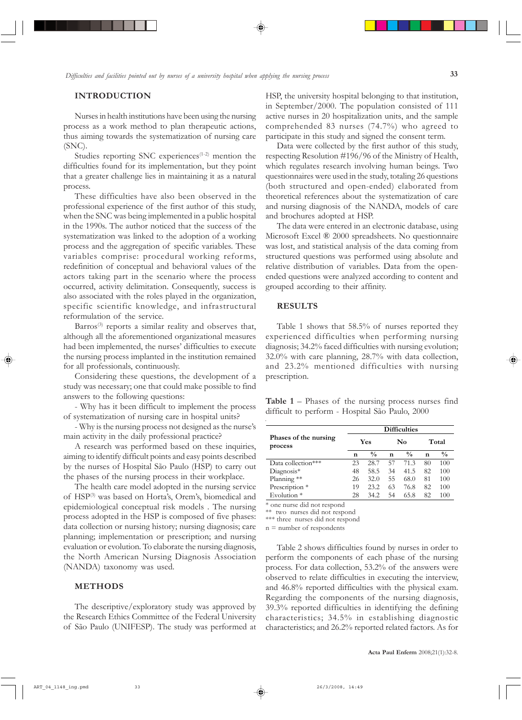#### **INTRODUCTION**

Nurses in health institutions have been using the nursing process as a work method to plan therapeutic actions, thus aiming towards the systematization of nursing care (SNC).

Studies reporting SNC experiences $(1-2)$  mention the difficulties found for its implementation, but they point that a greater challenge lies in maintaining it as a natural process.

These difficulties have also been observed in the professional experience of the first author of this study, when the SNC was being implemented in a public hospital in the 1990s. The author noticed that the success of the systematization was linked to the adoption of a working process and the aggregation of specific variables. These variables comprise: procedural working reforms, redefinition of conceptual and behavioral values of the actors taking part in the scenario where the process occurred, activity delimitation. Consequently, success is also associated with the roles played in the organization, specific scientific knowledge, and infrastructural reformulation of the service.

Barros<sup>(3)</sup> reports a similar reality and observes that, although all the aforementioned organizational measures had been implemented, the nurses' difficulties to execute the nursing process implanted in the institution remained for all professionals, continuously.

Considering these questions, the development of a study was necessary; one that could make possible to find answers to the following questions:

- Why has it been difficult to implement the process of systematization of nursing care in hospital units?

- Why is the nursing process not designed as the nurse's main activity in the daily professional practice?

A research was performed based on these inquiries, aiming to identify difficult points and easy points described by the nurses of Hospital São Paulo (HSP) to carry out the phases of the nursing process in their workplace.

The health care model adopted in the nursing service of HSP<sup>(3)</sup> was based on Horta's, Orem's, biomedical and epidemiological conceptual risk models . The nursing process adopted in the HSP is composed of five phases: data collection or nursing history; nursing diagnosis; care planning; implementation or prescription; and nursing evaluation or evolution. To elaborate the nursing diagnosis, the North American Nursing Diagnosis Association (NANDA) taxonomy was used.

#### **METHODS**

The descriptive/exploratory study was approved by the Research Ethics Committee of the Federal University of São Paulo (UNIFESP). The study was performed at HSP, the university hospital belonging to that institution, in September/2000. The population consisted of 111 active nurses in 20 hospitalization units, and the sample comprehended 83 nurses (74.7%) who agreed to participate in this study and signed the consent term.

Data were collected by the first author of this study, respecting Resolution #196/96 of the Ministry of Health, which regulates research involving human beings. Two questionnaires were used in the study, totaling 26 questions (both structured and open-ended) elaborated from theoretical references about the systematization of care and nursing diagnosis of the NANDA, models of care and brochures adopted at HSP.

The data were entered in an electronic database, using Microsoft Excel Æ 2000 spreadsheets. No questionnaire was lost, and statistical analysis of the data coming from structured questions was performed using absolute and relative distribution of variables. Data from the openended questions were analyzed according to content and grouped according to their affinity.

### **RESULTS**

Table 1 shows that 58.5% of nurses reported they experienced difficulties when performing nursing diagnosis; 34.2% faced difficulties with nursing evolution; 32.0% with care planning, 28.7% with data collection, and 23.2% mentioned difficulties with nursing prescription.

**Table 1**  $-$  Phases of the nursing process nurses find difficult to perform - Hospital São Paulo, 2000

|                                  | <b>Difficulties</b> |               |    |               |       |               |  |  |  |  |
|----------------------------------|---------------------|---------------|----|---------------|-------|---------------|--|--|--|--|
| Phases of the nursing<br>process |                     | Yes           |    | No            | Total |               |  |  |  |  |
|                                  | n                   | $\frac{0}{0}$ | n  | $\frac{0}{0}$ | n     | $\frac{0}{0}$ |  |  |  |  |
| Data collection***               | 23                  | 28.7          | 57 | 71.3          | 80    | 100           |  |  |  |  |
| $Diagonosis*$                    | 48                  | 58.5          | 34 | 41.5          | 82    | 100           |  |  |  |  |
| Planning **                      | 26                  | 32.0          | 55 | 68.0          | 81    | 100           |  |  |  |  |
| Prescription *                   | 19                  | 23.2          | 63 | 76.8          | 82    | 100           |  |  |  |  |
| Evolution <sup>*</sup>           | 28                  | 34.2          | 54 | 65.8          | 82    | 100           |  |  |  |  |

\* one nurse did not respond

\*\* two nurses did not respond

\*\*\* three nurses did not respond

n = number of respondents

Table 2 shows difficulties found by nurses in order to perform the components of each phase of the nursing process. For data collection, 53.2% of the answers were observed to relate difficulties in executing the interview, and 46.8% reported difficulties with the physical exam. Regarding the components of the nursing diagnosis, 39.3% reported difficulties in identifying the defining characteristics; 34.5% in establishing diagnostic characteristics; and 26.2% reported related factors. As for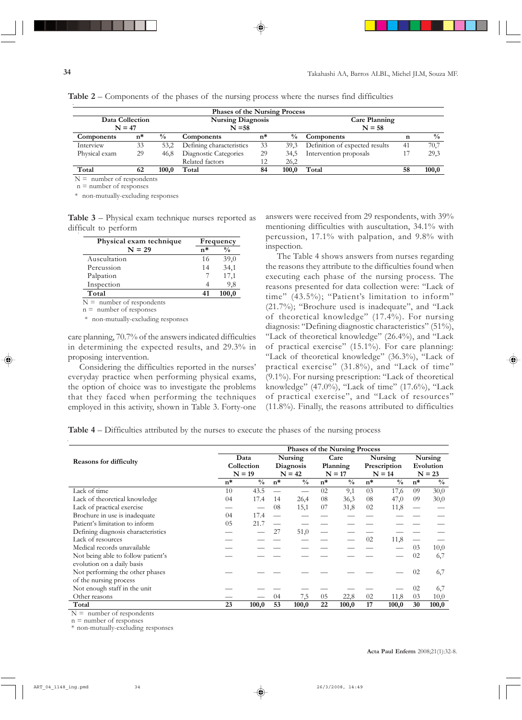| <b>Phases of the Nursing Process</b> |    |               |                          |    |               |                                |    |               |  |  |
|--------------------------------------|----|---------------|--------------------------|----|---------------|--------------------------------|----|---------------|--|--|
| Data Collection                      |    |               | <b>Nursing Diagnosis</b> |    |               | Care Planning                  |    |               |  |  |
| $N = 47$                             |    |               | $N = 58$                 |    |               | $N = 58$                       |    |               |  |  |
| Components                           | n* | $\frac{0}{0}$ | Components               | n* | $\frac{0}{0}$ | Components                     | n  | $\frac{0}{0}$ |  |  |
| Interview                            | 33 | 53.2          | Defining characteristics | 33 | 39.3          | Definition of expected results | 41 | 70,7          |  |  |
| Physical exam                        | 29 | 46.8          | Diagnostic Categories    | 29 | 34.5          | Intervention proposals         |    | 29,3          |  |  |
|                                      |    |               | Related factors          | 12 | 26,2          |                                |    |               |  |  |
| Total                                | 62 | 100.0         | Total                    | 84 | 100.0         | Total                          | 58 | 100,0         |  |  |

**Table 2** – Components of the phases of the nursing process where the nurses find difficulties

 $N =$  number of respondents

 $n =$  number of responses

\* non-mutually-excluding responses

**Table 3**  $-$  Physical exam technique nurses reported as difficult to perform

|              | Physical exam technique     |               | Frequency |  |  |  |
|--------------|-----------------------------|---------------|-----------|--|--|--|
|              | n*                          | $\frac{0}{0}$ |           |  |  |  |
| Auscultation |                             | 16            | 39,0      |  |  |  |
| Percussion   |                             | 14            | 34,1      |  |  |  |
| Palpation    |                             |               | 17,1      |  |  |  |
| Inspection   |                             |               | 9,8       |  |  |  |
| Total        |                             | 41            | 100,0     |  |  |  |
|              | $N =$ number of respondents |               |           |  |  |  |

responc

 $n =$  number of responses

\* non-mutually-excluding responses

care planning, 70.7% of the answers indicated difficulties in determining the expected results, and 29.3% in proposing intervention.

Considering the difficulties reported in the nurses' everyday practice when performing physical exams, the option of choice was to investigate the problems that they faced when performing the techniques employed in this activity, shown in Table 3. Forty-one

answers were received from 29 respondents, with 39% mentioning difficulties with auscultation, 34.1% with percussion, 17.1% with palpation, and 9.8% with inspection.

The Table 4 shows answers from nurses regarding the reasons they attribute to the difficulties found when executing each phase of the nursing process. The reasons presented for data collection were: "Lack of time" (43.5%); "Patient's limitation to inform"  $(21.7\%)$ ; "Brochure used is inadequate", and "Lack of theoretical knowledge"  $(17.4\%)$ . For nursing diagnosis: "Defining diagnostic characteristics" (51%), "Lack of theoretical knowledge"  $(26.4\%)$ , and "Lack of practical exercise" (15.1%). For care planning: "Lack of theoretical knowledge" (36.3%), "Lack of practical exercise" (31.8%), and "Lack of time"  $(9.1\%)$ . For nursing prescription: "Lack of theoretical knowledge" (47.0%), "Lack of time" (17.6%), "Lack of practical exercise", and "Lack of resources" (11.8%). Finally, the reasons attributed to difficulties

**Table 4** – Difficulties attributed by the nurses to execute the phases of the nursing process

|                                    | <b>Phases of the Nursing Process</b> |               |                                  |               |                              |               |                                     |               |                                  |               |
|------------------------------------|--------------------------------------|---------------|----------------------------------|---------------|------------------------------|---------------|-------------------------------------|---------------|----------------------------------|---------------|
| <b>Reasons for difficulty</b>      | Data<br>Collection<br>$N = 19$       |               | Nursing<br>Diagnosis<br>$N = 42$ |               | Care<br>Planning<br>$N = 17$ |               | Nursing<br>Prescription<br>$N = 14$ |               | Nursing<br>Evolution<br>$N = 23$ |               |
|                                    |                                      |               |                                  |               |                              |               |                                     |               |                                  |               |
|                                    |                                      |               |                                  |               |                              |               |                                     |               |                                  |               |
|                                    | $n^*$                                | $\frac{0}{0}$ | $n^*$                            | $\frac{0}{0}$ | $n^*$                        | $\frac{0}{0}$ | $n^*$                               | $\frac{0}{0}$ | $n^*$                            | $\frac{0}{0}$ |
| Lack of time                       | 10                                   | 43.5          |                                  |               | 02                           | 9,1           | 03                                  | 17,6          | 09                               | 30,0          |
| Lack of theoretical knowledge      | 04                                   | 17.4          | 14                               | 26,4          | 08                           | 36,3          | 08                                  | 47,0          | 09                               | 30,0          |
| Lack of practical exercise         |                                      |               | 08                               | 15,1          | 07                           | 31,8          | 02                                  | 11,8          |                                  |               |
| Brochure in use is inadequate      | 17.4<br>$^{04}$                      |               |                                  |               |                              |               |                                     |               |                                  |               |
| Patient's limitation to inform     | 05<br>21.7                           |               |                                  |               |                              |               |                                     |               |                                  |               |
| Defining diagnosis characteristics |                                      |               | 27                               | 51,0          |                              |               |                                     |               |                                  |               |
| Lack of resources                  |                                      |               |                                  |               |                              |               | 02                                  | 11,8          |                                  |               |
| Medical records unavailable        |                                      |               |                                  |               |                              |               |                                     |               | 03                               | 10,0          |
| Not being able to follow patient's |                                      |               |                                  |               |                              |               |                                     |               | 02                               | 6,7           |
| evolution on a daily basis         |                                      |               |                                  |               |                              |               |                                     |               |                                  |               |
| Not performing the other phases    |                                      |               |                                  |               |                              |               |                                     |               | 02                               | 6,7           |
| of the nursing process             |                                      |               |                                  |               |                              |               |                                     |               |                                  |               |
| Not enough staff in the unit       |                                      |               |                                  |               |                              |               |                                     |               | 02                               | 6,7           |
| Other reasons                      |                                      |               | 04                               | 7,5           | 05                           | 22,8          | 02                                  | 11,8          | 03                               | 10,0          |
| Total                              | 23                                   | 100,0         | 53                               | 100,0         | 22                           | 100,0         | 17                                  | 100,0         | 30                               | 100,0         |

 $N =$  number of respondents

 $n =$  number of responses

\* non-mutually-excluding responses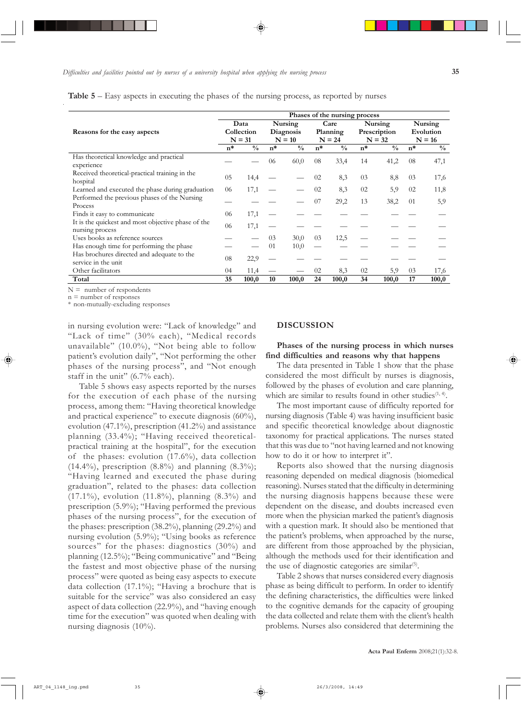|  |  |  | Table 5 - Easy aspects in executing the phases of the nursing process, as reported by nurse |
|--|--|--|---------------------------------------------------------------------------------------------|
|  |  |  |                                                                                             |

|                                                                                                  | Phases of the nursing process |                                                       |    |                                  |    |                              |    |                          |         |                       |    |
|--------------------------------------------------------------------------------------------------|-------------------------------|-------------------------------------------------------|----|----------------------------------|----|------------------------------|----|--------------------------|---------|-----------------------|----|
| Reasons for the easy aspects                                                                     |                               | Data<br>Collection<br>$N = 31$                        |    | Nursing<br>Diagnosis<br>$N = 10$ |    | Care<br>Planning<br>$N = 24$ |    | Nursing                  | Nursing |                       |    |
|                                                                                                  |                               |                                                       |    |                                  |    |                              |    | Prescription<br>$N = 32$ |         | Evolution<br>$N = 16$ |    |
|                                                                                                  |                               |                                                       |    |                                  |    |                              |    |                          |         |                       |    |
|                                                                                                  |                               | Has theoretical knowledge and practical<br>experience |    |                                  | 06 | 60,0                         | 08 | 33,4                     | 14      | 41,2                  | 08 |
| Received theoretical-practical training in the<br>hospital                                       |                               | 14,4                                                  |    |                                  | 02 | 8,3                          | 03 | 8,8                      | 03      | 17,6                  |    |
| Learned and executed the phase during graduation<br>Performed the previous phases of the Nursing |                               | 17,1                                                  |    |                                  | 02 | 8,3                          | 02 | 5,9                      | 02      | 11,8                  |    |
|                                                                                                  |                               |                                                       |    |                                  | 07 | 29,2                         | 13 | 38,2                     | 01      | 5,9                   |    |
| Process                                                                                          |                               |                                                       |    |                                  |    |                              |    |                          |         |                       |    |
| Finds it easy to communicate                                                                     | 06                            | 17,1                                                  |    |                                  |    |                              |    |                          |         |                       |    |
| It is the quickest and most objective phase of the<br>nursing process                            |                               | 17,1                                                  |    |                                  |    |                              |    |                          |         |                       |    |
| Uses books as reference sources                                                                  |                               |                                                       | 03 | 30,0                             | 03 | 12,5                         |    |                          |         |                       |    |
| Has enough time for performing the phase                                                         |                               |                                                       | 01 | 10,0                             |    |                              |    |                          |         |                       |    |
| Has brochures directed and adequate to the<br>service in the unit                                |                               | 22,9                                                  |    |                                  |    |                              |    |                          |         |                       |    |
| Other facilitators                                                                               | 04                            | 11,4                                                  |    |                                  | 02 | 8,3                          | 02 | 5,9                      | 03      | 17,6                  |    |
| Total                                                                                            |                               | 100,0                                                 | 10 | 100,0                            | 24 | 100,0                        | 34 | 100,0                    | 17      | 100,0                 |    |

 $N =$  number of respondents

 $n =$  number of responses

\* non-mutually-excluding responses

in nursing evolution were: "Lack of knowledge" and "Lack of time" (30% each), "Medical records unavailable" (10.0%), "Not being able to follow patient's evolution daily", "Not performing the other phases of the nursing process", and "Not enough staff in the unit"  $(6.7\%$  each).

Table 5 shows easy aspects reported by the nurses for the execution of each phase of the nursing process, among them: "Having theoretical knowledge and practical experience" to execute diagnosis  $(60\%)$ , evolution (47.1%), prescription (41.2%) and assistance planning  $(33.4\%)$ ; "Having received theoreticalpractical training at the hospital", for the execution of the phases: evolution (17.6%), data collection  $(14.4\%)$ , prescription  $(8.8\%)$  and planning  $(8.3\%)$ ; ìHaving learned and executed the phase during graduation", related to the phases: data collection (17.1%), evolution (11.8%), planning (8.3%) and prescription  $(5.9\%)$ ; "Having performed the previous phases of the nursing process", for the execution of the phases: prescription (38.2%), planning (29.2%) and nursing evolution  $(5.9\%)$ ; "Using books as reference sources" for the phases: diagnostics (30%) and planning  $(12.5\%)$ ; "Being communicative" and "Being the fastest and most objective phase of the nursing process" were quoted as being easy aspects to execute data collection  $(17.1\%)$ ; "Having a brochure that is suitable for the service" was also considered an easy aspect of data collection  $(22.9\%)$ , and "having enough time for the execution" was quoted when dealing with nursing diagnosis (10%).

#### **DISCUSSION**

**Phases of the nursing process in which nurses find difficulties and reasons why that happens**

The data presented in Table 1 show that the phase considered the most difficult by nurses is diagnosis, followed by the phases of evolution and care planning, which are similar to results found in other studies $(1, 4)$ .

The most important cause of difficulty reported for nursing diagnosis (Table 4) was having insufficient basic and specific theoretical knowledge about diagnostic taxonomy for practical applications. The nurses stated that this was due to "not having learned and not knowing how to do it or how to interpret it".

Reports also showed that the nursing diagnosis reasoning depended on medical diagnosis (biomedical reasoning). Nurses stated that the difficulty in determining the nursing diagnosis happens because these were dependent on the disease, and doubts increased even more when the physician marked the patient's diagnosis with a question mark. It should also be mentioned that the patient's problems, when approached by the nurse, are different from those approached by the physician, although the methods used for their identification and the use of diagnostic categories are similar $(5)$ .

Table 2 shows that nurses considered every diagnosis phase as being difficult to perform. In order to identify the defining characteristics, the difficulties were linked to the cognitive demands for the capacity of grouping the data collected and relate them with the client's health problems. Nurses also considered that determining the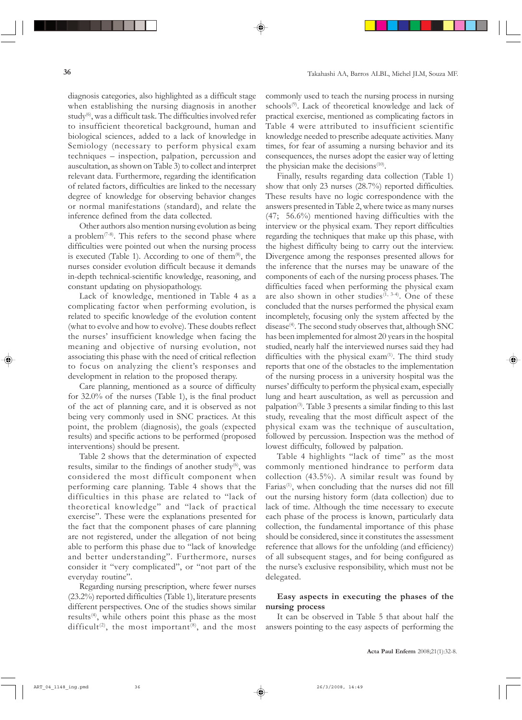diagnosis categories, also highlighted as a difficult stage when establishing the nursing diagnosis in another study<sup>(6)</sup>, was a difficult task. The difficulties involved refer to insufficient theoretical background, human and biological sciences, added to a lack of knowledge in Semiology (necessary to perform physical exam techniques - inspection, palpation, percussion and auscultation, as shown on Table 3) to collect and interpret relevant data. Furthermore, regarding the identification of related factors, difficulties are linked to the necessary degree of knowledge for observing behavior changes or normal manifestations (standard), and relate the inference defined from the data collected.

Other authors also mention nursing evolution as being a problem<sup> $(7-8)$ </sup>. This refers to the second phase where difficulties were pointed out when the nursing process is executed (Table 1). According to one of them $^{(8)}$ , the nurses consider evolution difficult because it demands in-depth technical-scientific knowledge, reasoning, and constant updating on physiopathology.

Lack of knowledge, mentioned in Table 4 as a complicating factor when performing evolution, is related to specific knowledge of the evolution content (what to evolve and how to evolve). These doubts reflect the nurses' insufficient knowledge when facing the meaning and objective of nursing evolution, not associating this phase with the need of critical reflection to focus on analyzing the client's responses and development in relation to the proposed therapy.

Care planning, mentioned as a source of difficulty for 32.0% of the nurses (Table 1), is the final product of the act of planning care, and it is observed as not being very commonly used in SNC practices. At this point, the problem (diagnosis), the goals (expected results) and specific actions to be performed (proposed interventions) should be present.

Table 2 shows that the determination of expected results, similar to the findings of another study $(6)$ , was considered the most difficult component when performing care planning. Table 4 shows that the difficulties in this phase are related to "lack of theoretical knowledge" and "lack of practical exercise". These were the explanations presented for the fact that the component phases of care planning are not registered, under the allegation of not being able to perform this phase due to "lack of knowledge" and better understanding". Furthermore, nurses consider it "very complicated", or "not part of the everyday routine".

Regarding nursing prescription, where fewer nurses (23.2%) reported difficulties (Table 1), literature presents different perspectives. One of the studies shows similar results(4), while others point this phase as the most difficult<sup>(2)</sup>, the most important<sup>(8)</sup>, and the most commonly used to teach the nursing process in nursing schools<sup>(9)</sup>. Lack of theoretical knowledge and lack of practical exercise, mentioned as complicating factors in Table 4 were attributed to insufficient scientific knowledge needed to prescribe adequate activities. Many times, for fear of assuming a nursing behavior and its consequences, the nurses adopt the easier way of letting the physician make the decisions $(10)$ .

Finally, results regarding data collection (Table 1) show that only 23 nurses (28.7%) reported difficulties. These results have no logic correspondence with the answers presented in Table 2, where twice as many nurses (47; 56.6%) mentioned having difficulties with the interview or the physical exam. They report difficulties regarding the techniques that make up this phase, with the highest difficulty being to carry out the interview. Divergence among the responses presented allows for the inference that the nurses may be unaware of the components of each of the nursing process phases. The difficulties faced when performing the physical exam are also shown in other studies<sup> $(1, 3-4)$ </sup>. One of these concluded that the nurses performed the physical exam incompletely, focusing only the system affected by the disease<sup>(4)</sup>. The second study observes that, although SNC has been implemented for almost 20 years in the hospital studied, nearly half the interviewed nurses said they had difficulties with the physical  $exam<sup>(1)</sup>$ . The third study reports that one of the obstacles to the implementation of the nursing process in a university hospital was the nurses' difficulty to perform the physical exam, especially lung and heart auscultation, as well as percussion and palpation(3). Table 3 presents a similar finding to this last study, revealing that the most difficult aspect of the physical exam was the technique of auscultation, followed by percussion. Inspection was the method of lowest difficulty, followed by palpation.

Table 4 highlights "lack of time" as the most commonly mentioned hindrance to perform data collection (43.5%). A similar result was found by Farias<sup>(1)</sup>, when concluding that the nurses did not fill out the nursing history form (data collection) due to lack of time. Although the time necessary to execute each phase of the process is known, particularly data collection, the fundamental importance of this phase should be considered, since it constitutes the assessment reference that allows for the unfolding (and efficiency) of all subsequent stages, and for being configured as the nurse's exclusive responsibility, which must not be delegated.

## **Easy aspects in executing the phases of the nursing process**

It can be observed in Table 5 that about half the answers pointing to the easy aspects of performing the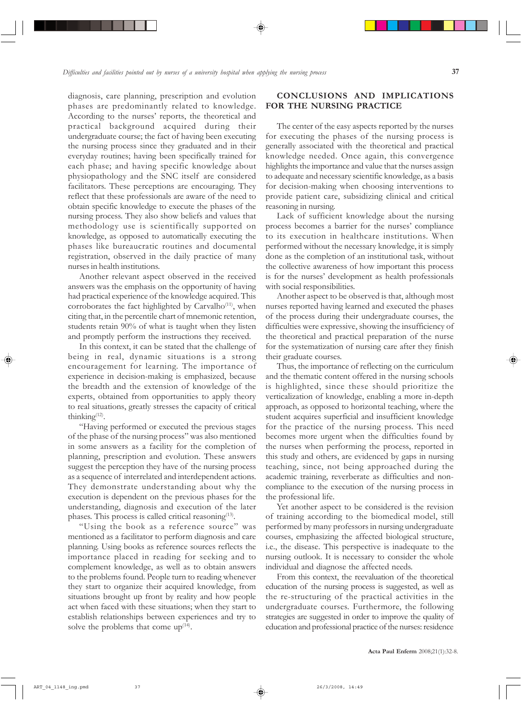diagnosis, care planning, prescription and evolution phases are predominantly related to knowledge. According to the nurses' reports, the theoretical and practical background acquired during their undergraduate course; the fact of having been executing the nursing process since they graduated and in their everyday routines; having been specifically trained for each phase; and having specific knowledge about physiopathology and the SNC itself are considered facilitators. These perceptions are encouraging. They reflect that these professionals are aware of the need to obtain specific knowledge to execute the phases of the nursing process. They also show beliefs and values that methodology use is scientifically supported on knowledge, as opposed to automatically executing the phases like bureaucratic routines and documental registration, observed in the daily practice of many nurses in health institutions.

Another relevant aspect observed in the received answers was the emphasis on the opportunity of having had practical experience of the knowledge acquired. This corroborates the fact highlighted by Carvalho<sup>(11)</sup>, when citing that, in the percentile chart of mnemonic retention, students retain 90% of what is taught when they listen and promptly perform the instructions they received.

In this context, it can be stated that the challenge of being in real, dynamic situations is a strong encouragement for learning. The importance of experience in decision-making is emphasized, because the breadth and the extension of knowledge of the experts, obtained from opportunities to apply theory to real situations, greatly stresses the capacity of critical thinking $(12)$ .

ìHaving performed or executed the previous stages of the phase of the nursing process" was also mentioned in some answers as a facility for the completion of planning, prescription and evolution. These answers suggest the perception they have of the nursing process as a sequence of interrelated and interdependent actions. They demonstrate understanding about why the execution is dependent on the previous phases for the understanding, diagnosis and execution of the later phases. This process is called critical reasoning $(13)$ .

"Using the book as a reference source" was mentioned as a facilitator to perform diagnosis and care planning. Using books as reference sources reflects the importance placed in reading for seeking and to complement knowledge, as well as to obtain answers to the problems found. People turn to reading whenever they start to organize their acquired knowledge, from situations brought up front by reality and how people act when faced with these situations; when they start to establish relationships between experiences and try to solve the problems that come  $up^{(14)}$ .

## **CONCLUSIONS AND IMPLICATIONS FOR THE NURSING PRACTICE**

The center of the easy aspects reported by the nurses for executing the phases of the nursing process is generally associated with the theoretical and practical knowledge needed. Once again, this convergence highlights the importance and value that the nurses assign to adequate and necessary scientific knowledge, as a basis for decision-making when choosing interventions to provide patient care, subsidizing clinical and critical reasoning in nursing.

Lack of sufficient knowledge about the nursing process becomes a barrier for the nurses' compliance to its execution in healthcare institutions. When performed without the necessary knowledge, it is simply done as the completion of an institutional task, without the collective awareness of how important this process is for the nurses' development as health professionals with social responsibilities.

Another aspect to be observed is that, although most nurses reported having learned and executed the phases of the process during their undergraduate courses, the difficulties were expressive, showing the insufficiency of the theoretical and practical preparation of the nurse for the systematization of nursing care after they finish their graduate courses.

Thus, the importance of reflecting on the curriculum and the thematic content offered in the nursing schools is highlighted, since these should prioritize the verticalization of knowledge, enabling a more in-depth approach, as opposed to horizontal teaching, where the student acquires superficial and insufficient knowledge for the practice of the nursing process. This need becomes more urgent when the difficulties found by the nurses when performing the process, reported in this study and others, are evidenced by gaps in nursing teaching, since, not being approached during the academic training, reverberate as difficulties and noncompliance to the execution of the nursing process in the professional life.

Yet another aspect to be considered is the revision of training according to the biomedical model, still performed by many professors in nursing undergraduate courses, emphasizing the affected biological structure, i.e., the disease. This perspective is inadequate to the nursing outlook. It is necessary to consider the whole individual and diagnose the affected needs.

From this context, the reevaluation of the theoretical education of the nursing process is suggested, as well as the re-structuring of the practical activities in the undergraduate courses. Furthermore, the following strategies are suggested in order to improve the quality of education and professional practice of the nurses: residence